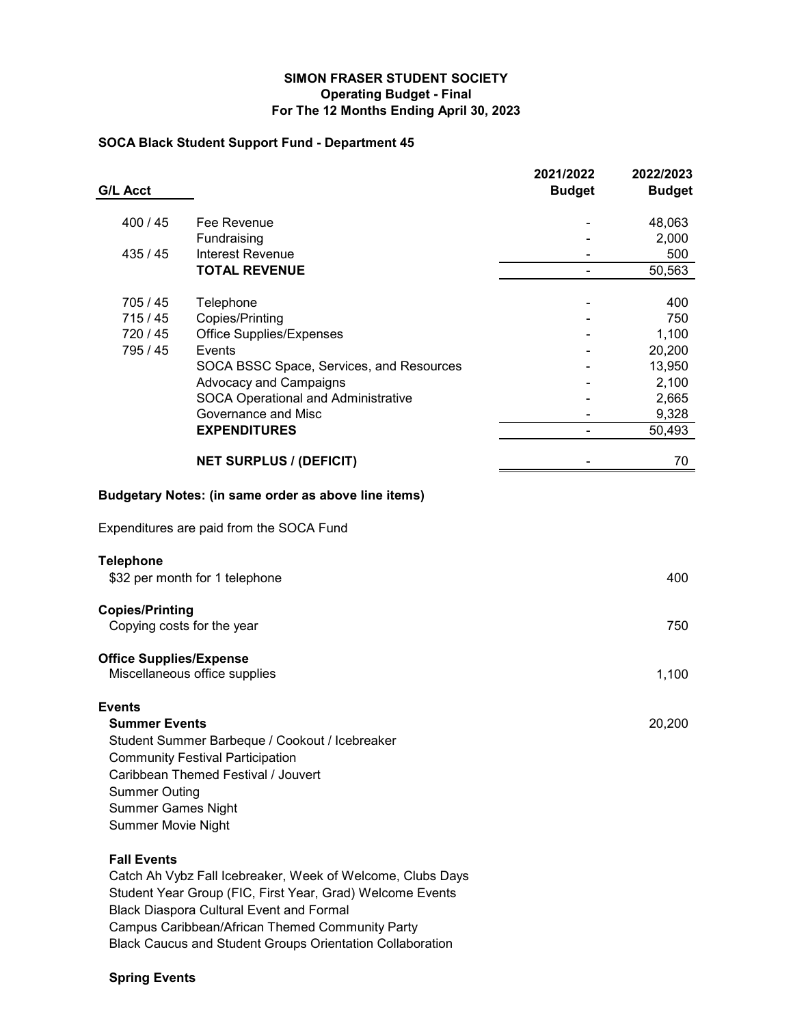## **SIMON FRASER STUDENT SOCIETY Operating Budget - Final For The 12 Months Ending April 30, 2023**

## **SOCA Black Student Support Fund - Department 45**

|                                         |                                                            | 2021/2022      | 2022/2023     |
|-----------------------------------------|------------------------------------------------------------|----------------|---------------|
| <b>G/L Acct</b>                         |                                                            | <b>Budget</b>  | <b>Budget</b> |
| 400 / 45                                | Fee Revenue                                                |                | 48,063        |
|                                         | Fundraising                                                |                | 2,000         |
| 435 / 45                                | <b>Interest Revenue</b>                                    |                | 500           |
|                                         | <b>TOTAL REVENUE</b>                                       | $\blacksquare$ | 50,563        |
| 705 / 45                                | Telephone                                                  |                | 400           |
| 715/45                                  | Copies/Printing                                            |                | 750           |
| 720 / 45                                | <b>Office Supplies/Expenses</b>                            |                | 1,100         |
| 795 / 45                                | Events                                                     |                | 20,200        |
|                                         | SOCA BSSC Space, Services, and Resources                   |                | 13,950        |
|                                         | <b>Advocacy and Campaigns</b>                              |                | 2,100         |
|                                         | <b>SOCA Operational and Administrative</b>                 |                | 2,665         |
|                                         | Governance and Misc                                        |                | 9,328         |
|                                         | <b>EXPENDITURES</b>                                        |                | 50,493        |
|                                         | <b>NET SURPLUS / (DEFICIT)</b>                             |                | 70            |
|                                         | Budgetary Notes: (in same order as above line items)       |                |               |
|                                         | Expenditures are paid from the SOCA Fund                   |                |               |
| <b>Telephone</b>                        |                                                            |                |               |
|                                         | \$32 per month for 1 telephone                             |                | 400           |
| <b>Copies/Printing</b>                  |                                                            |                |               |
|                                         | Copying costs for the year                                 |                | 750           |
| <b>Office Supplies/Expense</b>          |                                                            |                |               |
|                                         | Miscellaneous office supplies                              |                | 1,100         |
| <b>Events</b>                           |                                                            |                |               |
| <b>Summer Events</b>                    |                                                            |                | 20,200        |
|                                         | Student Summer Barbeque / Cookout / Icebreaker             |                |               |
| <b>Community Festival Participation</b> |                                                            |                |               |
| Caribbean Themed Festival / Jouvert     |                                                            |                |               |
| <b>Summer Outing</b>                    |                                                            |                |               |
| <b>Summer Games Night</b>               |                                                            |                |               |
| <b>Summer Movie Night</b>               |                                                            |                |               |
| <b>Fall Events</b>                      |                                                            |                |               |
|                                         | Catch Ah Vybz Fall Icebreaker, Week of Welcome, Clubs Days |                |               |
|                                         | Student Year Group (FIC, First Year, Grad) Welcome Events  |                |               |
|                                         | <b>Black Diaspora Cultural Event and Formal</b>            |                |               |
|                                         | Campus Caribbean/African Themed Community Party            |                |               |
|                                         | Black Caucus and Student Groups Orientation Collaboration  |                |               |
|                                         |                                                            |                |               |